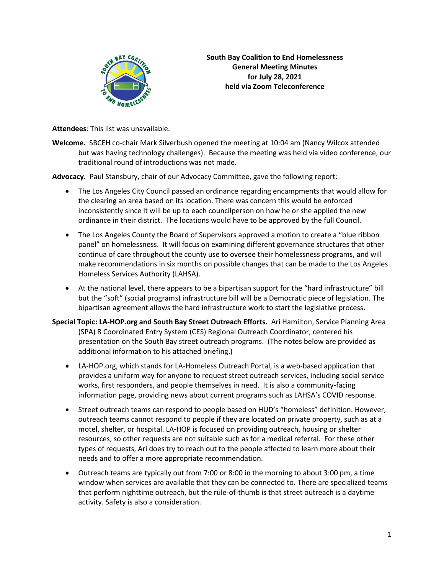

**South Bay Coalition to End Homelessness General Meeting Minutes for July 28, 2021 held via Zoom Teleconference**

**Attendees**: This list was unavailable.

**Welcome.** SBCEH co-chair Mark Silverbush opened the meeting at 10:04 am (Nancy Wilcox attended but was having technology challenges). Because the meeting was held via video conference, our traditional round of introductions was not made.

**Advocacy.** Paul Stansbury, chair of our Advocacy Committee, gave the following report:

- The Los Angeles City Council passed an ordinance regarding encampments that would allow for the clearing an area based on its location. There was concern this would be enforced inconsistently since it will be up to each councilperson on how he or she applied the new ordinance in their district. The locations would have to be approved by the full Council.
- The Los Angeles County the Board of Supervisors approved a motion to create a "blue ribbon panel" on homelessness. It will focus on examining different governance structures that other continua of care throughout the county use to oversee their homelessness programs, and will make recommendations in six months on possible changes that can be made to the Los Angeles Homeless Services Authority (LAHSA).
- At the national level, there appears to be a bipartisan support for the "hard infrastructure" bill but the "soft" (social programs) infrastructure bill will be a Democratic piece of legislation. The bipartisan agreement allows the hard infrastructure work to start the legislative process.
- **Special Topic: LA-HOP.org and South Bay Street Outreach Efforts.** Ari Hamilton, Service Planning Area (SPA) 8 Coordinated Entry System (CES) Regional Outreach Coordinator, centered his presentation on the South Bay street outreach programs. (The notes below are provided as additional information to his attached briefing.)
	- LA-HOP.org, which stands for LA-Homeless Outreach Portal, is a web-based application that provides a uniform way for anyone to request street outreach services, including social service works, first responders, and people themselves in need. It is also a community-facing information page, providing news about current programs such as LAHSA's COVID response.
	- Street outreach teams can respond to people based on HUD's "homeless" definition. However, outreach teams cannot respond to people if they are located on private property, such as at a motel, shelter, or hospital. LA-HOP is focused on providing outreach, housing or shelter resources, so other requests are not suitable such as for a medical referral. For these other types of requests, Ari does try to reach out to the people affected to learn more about their needs and to offer a more appropriate recommendation.
	- Outreach teams are typically out from 7:00 or 8:00 in the morning to about 3:00 pm, a time window when services are available that they can be connected to. There are specialized teams that perform nighttime outreach, but the rule-of-thumb is that street outreach is a daytime activity. Safety is also a consideration.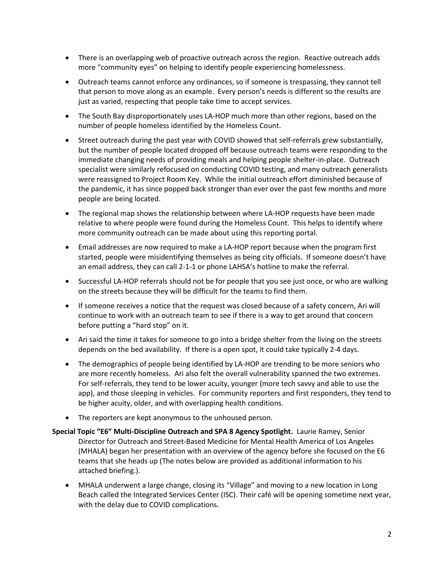- There is an overlapping web of proactive outreach across the region. Reactive outreach adds more "community eyes" on helping to identify people experiencing homelessness.
- Outreach teams cannot enforce any ordinances, so if someone is trespassing, they cannot tell that person to move along as an example. Every person's needs is different so the results are just as varied, respecting that people take time to accept services.
- The South Bay disproportionately uses LA-HOP much more than other regions, based on the number of people homeless identified by the Homeless Count.
- Street outreach during the past year with COVID showed that self-referrals grew substantially, but the number of people located dropped off because outreach teams were responding to the immediate changing needs of providing meals and helping people shelter-in-place. Outreach specialist were similarly refocused on conducting COVID testing, and many outreach generalists were reassigned to Project Room Key. While the initial outreach effort diminished because of the pandemic, it has since popped back stronger than ever over the past few months and more people are being located.
- The regional map shows the relationship between where LA-HOP requests have been made relative to where people were found during the Homeless Count. This helps to identify where more community outreach can be made about using this reporting portal.
- Email addresses are now required to make a LA-HOP report because when the program first started, people were misidentifying themselves as being city officials. If someone doesn't have an email address, they can call 2-1-1 or phone LAHSA's hotline to make the referral.
- Successful LA-HOP referrals should not be for people that you see just once, or who are walking on the streets because they will be difficult for the teams to find them.
- If someone receives a notice that the request was closed because of a safety concern, Ari will continue to work with an outreach team to see if there is a way to get around that concern before putting a "hard stop" on it.
- Ari said the time it takes for someone to go into a bridge shelter from the living on the streets depends on the bed availability. If there is a open spot, it could take typically 2-4 days.
- The demographics of people being identified by LA-HOP are trending to be more seniors who are more recently homeless. Ari also felt the overall vulnerability spanned the two extremes. For self-referrals, they tend to be lower acuity, younger (more tech savvy and able to use the app), and those sleeping in vehicles. For community reporters and first responders, they tend to be higher acuity, older, and with overlapping health conditions.
- The reporters are kept anonymous to the unhoused person.

## **Special Topic "E6" Multi-Discipline Outreach and SPA 8 Agency Spotlight.** Laurie Ramey, Senior Director for Outreach and Street-Based Medicine for Mental Health America of Los Angeles (MHALA) began her presentation with an overview of the agency before she focused on the E6 teams that she heads up (The notes below are provided as additional information to his attached briefing.).

• MHALA underwent a large change, closing its "Village" and moving to a new location in Long Beach called the Integrated Services Center (ISC). Their café will be opening sometime next year, with the delay due to COVID complications.